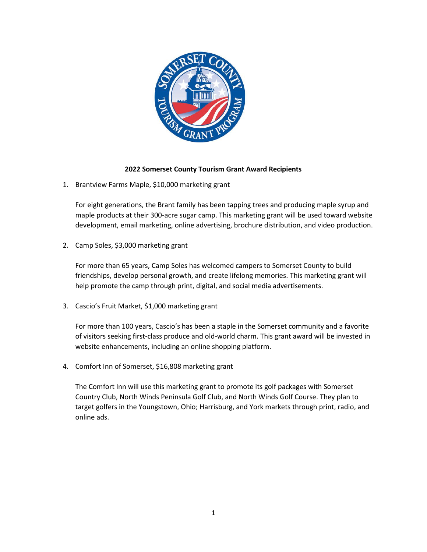

## **2022 Somerset County Tourism Grant Award Recipients**

1. Brantview Farms Maple, \$10,000 marketing grant

For eight generations, the Brant family has been tapping trees and producing maple syrup and maple products at their 300-acre sugar camp. This marketing grant will be used toward website development, email marketing, online advertising, brochure distribution, and video production.

2. Camp Soles, \$3,000 marketing grant

For more than 65 years, Camp Soles has welcomed campers to Somerset County to build friendships, develop personal growth, and create lifelong memories. This marketing grant will help promote the camp through print, digital, and social media advertisements.

3. Cascio's Fruit Market, \$1,000 marketing grant

For more than 100 years, Cascio's has been a staple in the Somerset community and a favorite of visitors seeking first-class produce and old-world charm. This grant award will be invested in website enhancements, including an online shopping platform.

4. Comfort Inn of Somerset, \$16,808 marketing grant

The Comfort Inn will use this marketing grant to promote its golf packages with Somerset Country Club, North Winds Peninsula Golf Club, and North Winds Golf Course. They plan to target golfers in the Youngstown, Ohio; Harrisburg, and York markets through print, radio, and online ads.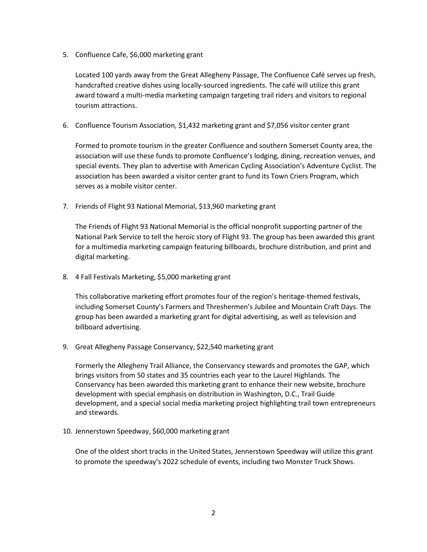5. Confluence Cafe, \$6,000 marketing grant

Located 100 yards away from the Great Allegheny Passage, The Confluence Café serves up fresh, handcrafted creative dishes using locally-sourced ingredients. The café will utilize this grant award toward a multi-media marketing campaign targeting trail riders and visitors to regional tourism attractions.

6. Confluence Tourism Association, \$1,432 marketing grant and \$7,056 visitor center grant

Formed to promote tourism in the greater Confluence and southern Somerset County area, the association will use these funds to promote Confluence's lodging, dining, recreation venues, and special events. They plan to advertise with American Cycling Association's Adventure Cyclist. The association has been awarded a visitor center grant to fund its Town Criers Program, which serves as a mobile visitor center.

7. Friends of Flight 93 National Memorial, \$13,960 marketing grant

The Friends of Flight 93 National Memorial is the official nonprofit supporting partner of the National Park Service to tell the heroic story of Flight 93. The group has been awarded this grant for a multimedia marketing campaign featuring billboards, brochure distribution, and print and digital marketing.

8. 4 Fall Festivals Marketing, \$5,000 marketing grant

This collaborative marketing effort promotes four of the region's heritage-themed festivals, including Somerset County's Farmers and Threshermen's Jubilee and Mountain Craft Days. The group has been awarded a marketing grant for digital advertising, as well as television and billboard advertising.

9. Great Allegheny Passage Conservancy, \$22,540 marketing grant

Formerly the Allegheny Trail Alliance, the Conservancy stewards and promotes the GAP, which brings visitors from 50 states and 35 countries each year to the Laurel Highlands. The Conservancy has been awarded this marketing grant to enhance their new website, brochure development with special emphasis on distribution in Washington, D.C., Trail Guide development, and a special social media marketing project highlighting trail town entrepreneurs and stewards.

10. Jennerstown Speedway, \$60,000 marketing grant

One of the oldest short tracks in the United States, Jennerstown Speedway will utilize this grant to promote the speedway's 2022 schedule of events, including two Monster Truck Shows.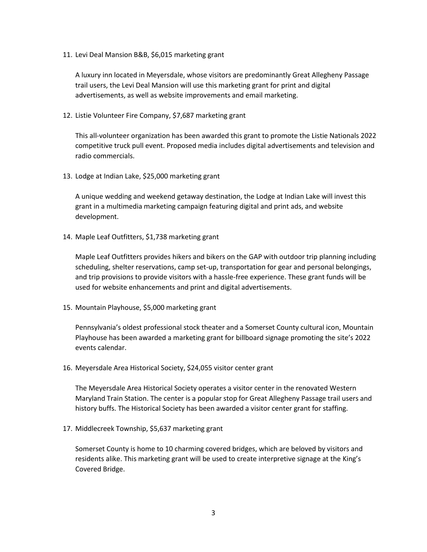11. Levi Deal Mansion B&B, \$6,015 marketing grant

A luxury inn located in Meyersdale, whose visitors are predominantly Great Allegheny Passage trail users, the Levi Deal Mansion will use this marketing grant for print and digital advertisements, as well as website improvements and email marketing.

12. Listie Volunteer Fire Company, \$7,687 marketing grant

This all-volunteer organization has been awarded this grant to promote the Listie Nationals 2022 competitive truck pull event. Proposed media includes digital advertisements and television and radio commercials.

13. Lodge at Indian Lake, \$25,000 marketing grant

A unique wedding and weekend getaway destination, the Lodge at Indian Lake will invest this grant in a multimedia marketing campaign featuring digital and print ads, and website development.

14. Maple Leaf Outfitters, \$1,738 marketing grant

Maple Leaf Outfitters provides hikers and bikers on the GAP with outdoor trip planning including scheduling, shelter reservations, camp set-up, transportation for gear and personal belongings, and trip provisions to provide visitors with a hassle-free experience. These grant funds will be used for website enhancements and print and digital advertisements.

15. Mountain Playhouse, \$5,000 marketing grant

Pennsylvania's oldest professional stock theater and a Somerset County cultural icon, Mountain Playhouse has been awarded a marketing grant for billboard signage promoting the site's 2022 events calendar.

16. Meyersdale Area Historical Society, \$24,055 visitor center grant

The Meyersdale Area Historical Society operates a visitor center in the renovated Western Maryland Train Station. The center is a popular stop for Great Allegheny Passage trail users and history buffs. The Historical Society has been awarded a visitor center grant for staffing.

17. Middlecreek Township, \$5,637 marketing grant

Somerset County is home to 10 charming covered bridges, which are beloved by visitors and residents alike. This marketing grant will be used to create interpretive signage at the King's Covered Bridge.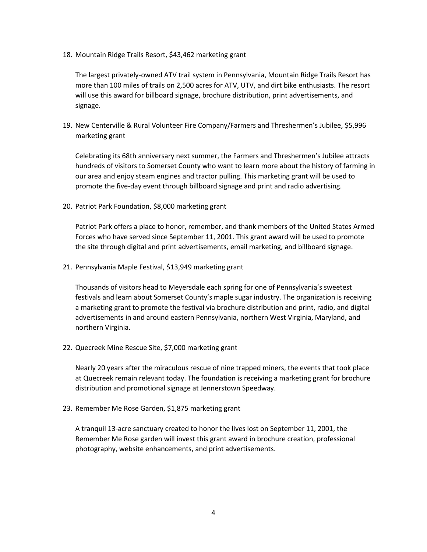18. Mountain Ridge Trails Resort, \$43,462 marketing grant

The largest privately-owned ATV trail system in Pennsylvania, Mountain Ridge Trails Resort has more than 100 miles of trails on 2,500 acres for ATV, UTV, and dirt bike enthusiasts. The resort will use this award for billboard signage, brochure distribution, print advertisements, and signage.

19. New Centerville & Rural Volunteer Fire Company/Farmers and Threshermen's Jubilee, \$5,996 marketing grant

Celebrating its 68th anniversary next summer, the Farmers and Threshermen's Jubilee attracts hundreds of visitors to Somerset County who want to learn more about the history of farming in our area and enjoy steam engines and tractor pulling. This marketing grant will be used to promote the five-day event through billboard signage and print and radio advertising.

20. Patriot Park Foundation, \$8,000 marketing grant

Patriot Park offers a place to honor, remember, and thank members of the United States Armed Forces who have served since September 11, 2001. This grant award will be used to promote the site through digital and print advertisements, email marketing, and billboard signage.

21. Pennsylvania Maple Festival, \$13,949 marketing grant

Thousands of visitors head to Meyersdale each spring for one of Pennsylvania's sweetest festivals and learn about Somerset County's maple sugar industry. The organization is receiving a marketing grant to promote the festival via brochure distribution and print, radio, and digital advertisements in and around eastern Pennsylvania, northern West Virginia, Maryland, and northern Virginia.

22. Quecreek Mine Rescue Site, \$7,000 marketing grant

Nearly 20 years after the miraculous rescue of nine trapped miners, the events that took place at Quecreek remain relevant today. The foundation is receiving a marketing grant for brochure distribution and promotional signage at Jennerstown Speedway.

23. Remember Me Rose Garden, \$1,875 marketing grant

A tranquil 13-acre sanctuary created to honor the lives lost on September 11, 2001, the Remember Me Rose garden will invest this grant award in brochure creation, professional photography, website enhancements, and print advertisements.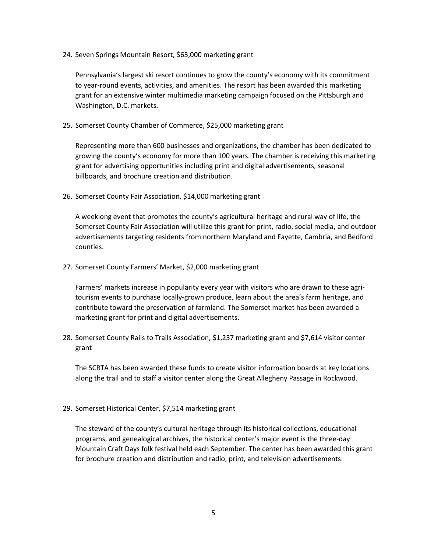24. Seven Springs Mountain Resort, \$63,000 marketing grant

Pennsylvania's largest ski resort continues to grow the county's economy with its commitment to year-round events, activities, and amenities. The resort has been awarded this marketing grant for an extensive winter multimedia marketing campaign focused on the Pittsburgh and Washington, D.C. markets.

25. Somerset County Chamber of Commerce, \$25,000 marketing grant

Representing more than 600 businesses and organizations, the chamber has been dedicated to growing the county's economy for more than 100 years. The chamber is receiving this marketing grant for advertising opportunities including print and digital advertisements, seasonal billboards, and brochure creation and distribution.

26. Somerset County Fair Association, \$14,000 marketing grant

A weeklong event that promotes the county's agricultural heritage and rural way of life, the Somerset County Fair Association will utilize this grant for print, radio, social media, and outdoor advertisements targeting residents from northern Maryland and Fayette, Cambria, and Bedford counties.

27. Somerset County Farmers' Market, \$2,000 marketing grant

Farmers' markets increase in popularity every year with visitors who are drawn to these agritourism events to purchase locally-grown produce, learn about the area's farm heritage, and contribute toward the preservation of farmland. The Somerset market has been awarded a marketing grant for print and digital advertisements.

28. Somerset County Rails to Trails Association, \$1,237 marketing grant and \$7,614 visitor center grant

The SCRTA has been awarded these funds to create visitor information boards at key locations along the trail and to staff a visitor center along the Great Allegheny Passage in Rockwood.

29. Somerset Historical Center, \$7,514 marketing grant

The steward of the county's cultural heritage through its historical collections, educational programs, and genealogical archives, the historical center's major event is the three-day Mountain Craft Days folk festival held each September. The center has been awarded this grant for brochure creation and distribution and radio, print, and television advertisements.